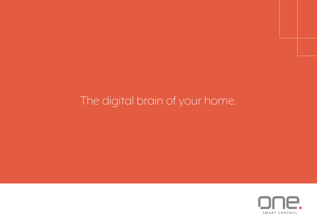# The digital brain of your home.

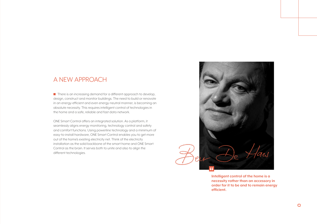# A NEW APPROACH

 $\blacksquare$  There is an increasing demand for a different approach to develop, design, construct and monitor buildings. The need to build or renovate in an energy-efficient and even energy-neutral manner, is becoming an absolute necessity. This requires intelligent control of technologies in the home and a safe, reliable and fast data network.

ONE Smart Control offers an integrated solution. As a platform, it seamlessly aligns energy monitoring, technology control and safety and comfort functions. Using powerline technology and a minimum of easy-to-install hardware, ONE Smart Control enables you to get more out of the home's existing electricity net. Think of the electricity installation as the solid backbone of the smart home and ONE Smart Control as the brain. It serves both to unite and also to align the different technologies.



**Intelligent control of the home is a necessity rather than an accessory in order for it to be and to remain energy efficient.**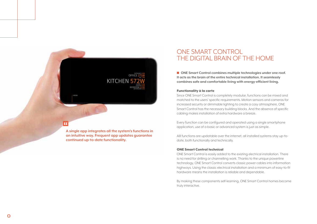**A single app integrates all the system's functions in an intuitive way. Frequent app updates guarantee continued up-to-date functionality.**

m

**KITCHEN** 

# ONE SMART CONTROL THE DIGITAL BRAIN OF THE HOME

■ ONE Smart Control combines multiple technologies under one roof. **It acts as the brain of the entire technical installation. It seamlessly combines safe and comfortable living with energy-efficient living.** 

#### Functionality à la carte

Since ONE Smart Control is completely modular, functions can be mixed and matched to the users' specific requirements. Motion sensors and cameras for increased security or dimmable lighting to create a cosy atmosphere, ONE Smart Control has the necessary building blocks. And the absence of specific cabling makes installation of extra hardware a breeze.

Every function can be configured and operated using a single smartphone application, use of a basic or advanced system is just as simple.

Alll functions are updatable over the internet, all installed systems stay up-todate, both functionally and technically.

#### ONE Smart Control technical

ONE Smart Control is easily added to the existing electrical installation. There is no need for drilling or channelling work. Thanks to the unique powerline technology, ONE Smart Control converts classic power cables into information highways. Using the classic electrical installation and a minimum of easy-to-fit hardware means the installation is reliable and dependable.

By making these components self-learning, ONE Smart Control homes become truly interactive.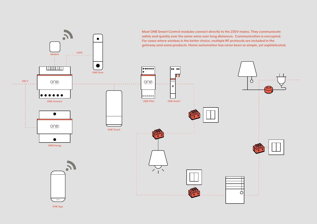**Most ONE Smart Control modules connect directly to the 230V mains. They communicate safely and quickly over the same wires over long distances. Communication is encrypted.**   $\bullet$ **For cases where wireless is the better choice, multiple RF protocols are included in the gateway and some products. Home automation has never been so simple, yet sophisticated.LVDS Modem TITTITITI**  $\bullet\bullet\bullet\bullet\bullet\bullet$ oo oo **ONE Door**  $\delta$ **230 V**  $one.$  $one$ . . . . . .  $\bullet$  $\bullet$   $\bullet$  $\begin{array}{cccccccccccccc} \bullet & \bullet & \bullet & \bullet & \bullet & \bullet & \bullet & \bullet \end{array}$ **ONE Connect ONE Filter ONE Smart**  $\bullet$  $one.$ **ONE Touch**  $\bullet$ **ONE Energy** Ò  $=$ 

**ONE App**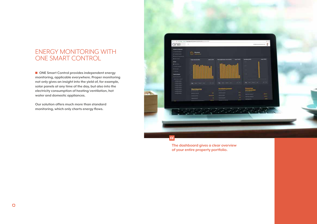# ENERGY MONITORING WITH ONE SMART CONTROL

■ ONE Smart Control provides independent energy **monitoring, applicable everywhere. Proper monitoring not only gives an insight into the yield of, for example, solar panels at any time of the day, but also into the electricity consumption of heating/ventilation, hot water and domestic appliances.** 

**Our solution offers much more than standard monitoring, which only charts energy flows.** 



**The dashboard gives a clear overview of your entire property portfolio.**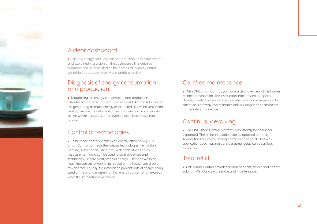# A clear dashboard

**The raw energy consumption or production data is interpreted** and explained in a graph on the dashboard. This detailed summary can be consulted on the online ONE Smart Control portal, in a total, daily, weekly or monthly overview.

### Diagnosis of energy consumption and production

**•** Diagnosing the energy consumption and production is essential to be and to remain energy efficient. Are the solar panels still generating as much energy as expected? Does the ventilation work optimally? This information means there can be immediate action where necessary, often even before it becomes a real problem.

# Control of technologies

**To have the home operate in an energy-efficient way, ONE** Smart Control connects the various technologies (ventilation, heating, solar panels, users, etc.) with each other. Energy measurement data can be used to control devices and technology. Is there plenty of solar energy? Then the washing machine can set to work at full speed or the freezer can drop a few degrees. Equally, the installation prevents lots of energy being used at the wrong moment or that energy consumption exceeds what the installation can provide.

# Carefree maintenance

**Now With ONE Smart Control, you have a clear overview of the home's** technical installation. The installation indicates limits, reports deviations, etc. You see at a glance whether a home requires extra attention. That way, maintenance and building management are immediately more efficient.

### Continually evolving

**The ONE Smart Control platform is constantly being further** expanded. The entire installation can be updated remotely. Applications are always being added or enhanced. That way, applications you may not consider using today can be utilised tomorrow.

### Total relief

**• ONE Smart Control provides an independent, simple and honest** solution. We take care of service and maintenance.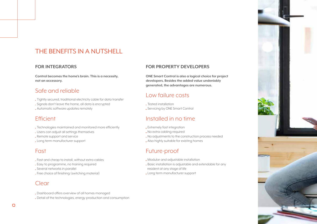# THE BENEFITS IN A NUTSHELL

#### **FOR INTEGRATORS**

**Control becomes the home's brain. This is a necessity, not an accessory.** 

### Safe and reliable

- Tightly secured, traditional electricity cable for data transfer
- Signals don't leave the home, all data is encrypted
- Automatic software updates remotely

# Efficient

- Technologies maintained and monitored more efficiently
- Users can adjust all settings themselves
- **.** Remote support and service
- Long term manufacturer support

# **Fast**

- Fast and cheap to install, without extra cables
- Easy to programme, no training required
- Several networks in parallel
- Free choice of finishing (switching material)

### Clear

- Dashboard offers overview of all homes managed
- Detail of the technologies, energy production and consumption

#### **FOR PROPERTY DEVELOPERS**

**ONE Smart Control is also a logical choice for project developers. Besides the added value undeniably generated, the advantages are numerous.**

# Low failure costs

Tested installation **. Servicing by ONE Smart Control** 

# Installed in no time

- Extremely fast integration
- No extra cabling required
- No adjustments to the construction process needed
- Also highly suitable for existing homes

# Future-proof

- Modular and adjustable installation
- Basic installation is adjustable and extendable for any
- resident at any stage of life
- Long term manufacturer support

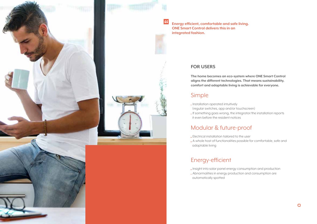

**Energy efficient, comfortable and safe living. ONE Smart Control delivers this in an integrated fashion.**

#### **FOR USERS**

 $\epsilon$ 

**The home becomes an eco-system where ONE Smart Control aligns the different technologies. That means sustainability, comfort and adaptable living is achievable for everyone.**

### Simple

- Installation operated intuitively (regular switches, app and/or touchscreen)
- If something goes wrong, the integrator/the installation reports it even before the resident notices

# Modular & future-proof

- Electrical installation tailored to the user
- A whole host of functionalities possible for comfortable, safe and adaptable living

# Energy-efficient

- Insight into solar panel energy consumption and production
- Abnormalities in energy production and consumption are automatically spotted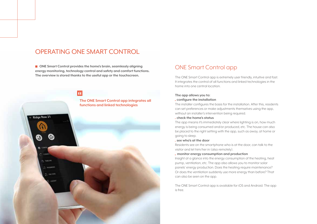# OPERATING ONE SMART CONTROL

■ ONE Smart Control provides the home's brain, seamlessly aligning **energy monitoring, technology control and safety and comfort functions. The overview is stored thanks to the useful app or the touchscreen.** 



#### ONE Smart Control app

The ONE Smart Control app is extremely user friendly, intuitive and fast. It integrates the control of all functions and linked technologies in the home into one central location.

#### **The app allows you to:**  **configure the installation**

The installer configures the basis for the installation. After this, residents can set preferences or make adjustments themselves using the app, without an installer's intervention being required.

#### **check the home's status**

The app means it's immediately clear where lighting is on, how much energy is being consumed and/or produced, etc. The house can also be placed to the right setting with the app, such as away, at home or going to sleep.

#### **see who's at the door**

Residents see on the smartphone who is at the door, can talk to the visitor and let him/her in (also remotely).

#### **monitor energy consumption and production**

Insight at a glance into the energy consumption of the heating, heat pump, ventilation, etc. The app also allows you to monitor solar panels' energy production. Does the heating require maintenance? Or does the ventilation suddenly use more energy than before? That can also be seen on the app.

The ONE Smart Control app is available for iOS and Android. The app is free.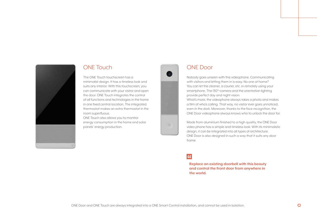

### ONE Touch

The ONE Touch touchscreen has a minimalist design. It has a timeless look and

suits any interior. With this touchscreen, you can communicate with your visitor and open the door. ONE Touch integrates the control of all functions and technologies in the home in one fixed central location. The integrated thermostat makes an extra thermostat in the room superfluous.

ONE Touch also allows you to monitor energy consumption in the home and solar panels' energy production.



### ONE Door

Nobody goes unseen with this videophone. Communicating with visitors and letting them in is easy. No one at home? You can let the cleaner, a courier, etc. in remotely using your smartphone. The 130°-camera and the orientation lighting provide perfect day and night vision.

What's more, the videophone always takes a photo and makes a film of who's calling. That way, no visitor ever goes unnoticed, even in the dark. Moreover, thanks to the face recognition, the ONE Door videophone always knows who to unlock the door for.

Made from aluminium finished to a high quality, the ONE Door video phone has a simple and timeless look. With its minimalistic design, it can be integrated into all types of architecture. ONE Door is also designed in such a way that it suits any door frame.

### $\overline{a}$

**Replace an existing doorbell with this beauty and control the front door from anywhere in the world.**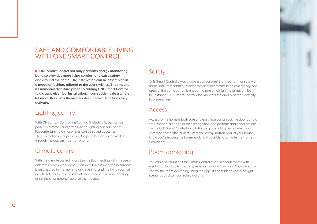# SAFE AND COMFORTABLE LIVING WITH ONE SMART CONTROL

■ ONE Smart Control not only performs energy monitoring, **but also provides more living comfort and extra safety in and around the home. The installation can be assembled in a modular fashion, tailored to the user's wishes. That means it's immediately future-proof. By adding ONE Smart Control to a classic electrical installation, it can suddenly do a whole lot more. Residents themselves decide which functions they activate.**

### Lighting control

With ONE Smart Control, the lighting (including LEDs) can be perfectly dimmed and atmospheric lighting can also be set. Favourite lighting atmospheres can be saved as scenes. They are called up again using the push button on the wall or through the app on the smartphone.

#### Climate control

With the climate control, you align the floor heating with the use of different rooms in the home. That way, for instance, the bathroom is only heated in the morning and evening, and the living room all day. Residents themselves decide how they set the zone heating using the smartphone/tablet or thermostat.

#### **Safety**

ONE Smart Control always watches all parameters important for safety at home, and immediately intervenes where necessary. In an emergency, one press of the panic button is enough to turn on all lighting or have it flash, for instance. ONE Smart Control also monitors the quality of the electricity to prevent fires.

#### Access

Access to the home is both safe and easy. You can unlock the door using a smartphone, a badge or face recognition and perform additional actions on the ONE Smart Control installation (e.g. the light goes on when you enter the home after sunset). With the 'away' button, you let your house know you're leaving the home, making it possible to activate the 'home simulation'.

### Room darkening

You can also count on ONE Smart Control to darken your rooms with electric curtains, roller shutters, venetian blinds or awnings. You can easily control the room darkening using the app. It's possible to combine light scenarios and sun-controlled actions.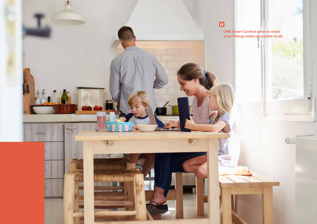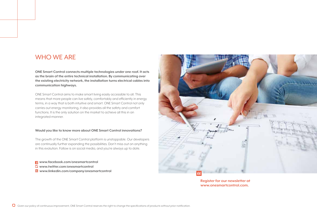# WHO WE ARE

**ONE Smart Control connects multiple technologies under one roof. It acts as the brain of the entire technical installation. By communicating over the existing electricity network, the installation turns electrical cables into communication highways.** 

ONE Smart Control aims to make smart living easily accessible to all. This means that more people can live safely, comfortably and efficiently in energy terms, in a way that is both intuitive and smart. ONE Smart Control not only carries out energy monitoring, it also provides all the safety and comfort functions. It is the only solution on the market to achieve all this in an integrated manner.

#### **Would you like to know more about ONE Smart Control innovations?**

The growth of the ONE Smart Control platform is unstoppable. Our developers are continually further expanding the possibilities. Don't miss out on anything in this evolution. Follow is on social media, and you're always up to date.

 **www.facebook.com/onesmartcontrol www.twitter.com/onesmartcontrol www.linkedin.com/company/onesmartcontrol**



**Register for our newsletter at www.onesmartcontrol.com.**